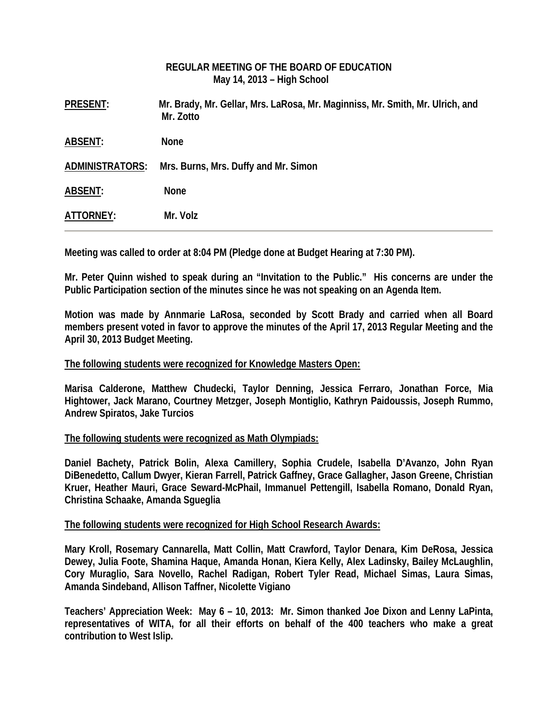# **REGULAR MEETING OF THE BOARD OF EDUCATION May 14, 2013 – High School**

| <b>PRESENT:</b>        | Mr. Brady, Mr. Gellar, Mrs. LaRosa, Mr. Maginniss, Mr. Smith, Mr. Ulrich, and<br>Mr. Zotto |
|------------------------|--------------------------------------------------------------------------------------------|
| <b>ABSENT:</b>         | <b>None</b>                                                                                |
| <b>ADMINISTRATORS:</b> | Mrs. Burns, Mrs. Duffy and Mr. Simon                                                       |
| <b>ABSENT:</b>         | <b>None</b>                                                                                |
| ATTORNEY:              | Mr. Volz                                                                                   |

**Meeting was called to order at 8:04 PM (Pledge done at Budget Hearing at 7:30 PM).** 

**Mr. Peter Quinn wished to speak during an "Invitation to the Public." His concerns are under the Public Participation section of the minutes since he was not speaking on an Agenda Item.** 

**Motion was made by Annmarie LaRosa, seconded by Scott Brady and carried when all Board members present voted in favor to approve the minutes of the April 17, 2013 Regular Meeting and the April 30, 2013 Budget Meeting.** 

### **The following students were recognized for Knowledge Masters Open:**

**Marisa Calderone, Matthew Chudecki, Taylor Denning, Jessica Ferraro, Jonathan Force, Mia Hightower, Jack Marano, Courtney Metzger, Joseph Montiglio, Kathryn Paidoussis, Joseph Rummo, Andrew Spiratos, Jake Turcios** 

### **The following students were recognized as Math Olympiads:**

**Daniel Bachety, Patrick Bolin, Alexa Camillery, Sophia Crudele, Isabella D'Avanzo, John Ryan DiBenedetto, Callum Dwyer, Kieran Farrell, Patrick Gaffney, Grace Gallagher, Jason Greene, Christian Kruer, Heather Mauri, Grace Seward-McPhail, Immanuel Pettengill, Isabella Romano, Donald Ryan, Christina Schaake, Amanda Sgueglia** 

### **The following students were recognized for High School Research Awards:**

**Mary Kroll, Rosemary Cannarella, Matt Collin, Matt Crawford, Taylor Denara, Kim DeRosa, Jessica Dewey, Julia Foote, Shamina Haque, Amanda Honan, Kiera Kelly, Alex Ladinsky, Bailey McLaughlin, Cory Muraglio, Sara Novello, Rachel Radigan, Robert Tyler Read, Michael Simas, Laura Simas, Amanda Sindeband, Allison Taffner, Nicolette Vigiano** 

**Teachers' Appreciation Week: May 6 – 10, 2013: Mr. Simon thanked Joe Dixon and Lenny LaPinta, representatives of WITA, for all their efforts on behalf of the 400 teachers who make a great contribution to West Islip.**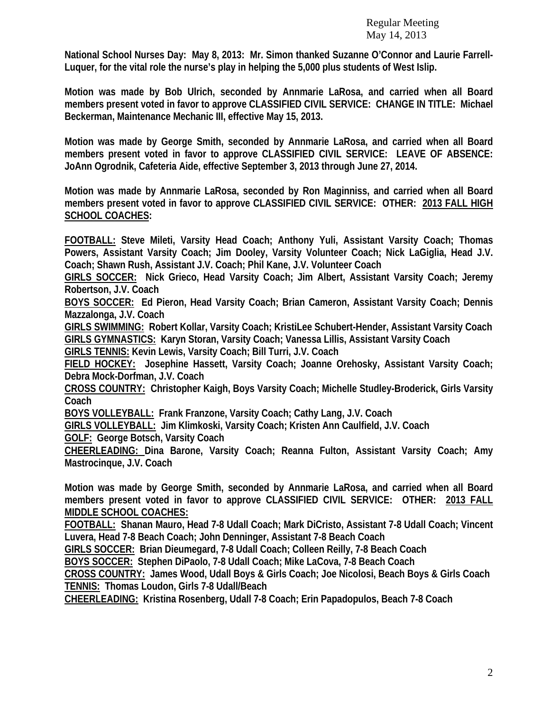**National School Nurses Day: May 8, 2013: Mr. Simon thanked Suzanne O'Connor and Laurie Farrell-Luquer, for the vital role the nurse's play in helping the 5,000 plus students of West Islip.** 

**Motion was made by Bob Ulrich, seconded by Annmarie LaRosa, and carried when all Board members present voted in favor to approve CLASSIFIED CIVIL SERVICE: CHANGE IN TITLE: Michael Beckerman, Maintenance Mechanic III, effective May 15, 2013.** 

**Motion was made by George Smith, seconded by Annmarie LaRosa, and carried when all Board members present voted in favor to approve CLASSIFIED CIVIL SERVICE: LEAVE OF ABSENCE: JoAnn Ogrodnik, Cafeteria Aide, effective September 3, 2013 through June 27, 2014.** 

**Motion was made by Annmarie LaRosa, seconded by Ron Maginniss, and carried when all Board members present voted in favor to approve CLASSIFIED CIVIL SERVICE: OTHER: 2013 FALL HIGH SCHOOL COACHES:** 

**FOOTBALL: Steve Mileti, Varsity Head Coach; Anthony Yuli, Assistant Varsity Coach; Thomas Powers, Assistant Varsity Coach; Jim Dooley, Varsity Volunteer Coach; Nick LaGiglia, Head J.V. Coach; Shawn Rush, Assistant J.V. Coach; Phil Kane, J.V. Volunteer Coach** 

**GIRLS SOCCER: Nick Grieco, Head Varsity Coach; Jim Albert, Assistant Varsity Coach; Jeremy Robertson, J.V. Coach** 

**BOYS SOCCER: Ed Pieron, Head Varsity Coach; Brian Cameron, Assistant Varsity Coach; Dennis Mazzalonga, J.V. Coach** 

**GIRLS SWIMMING: Robert Kollar, Varsity Coach; KristiLee Schubert-Hender, Assistant Varsity Coach GIRLS GYMNASTICS: Karyn Storan, Varsity Coach; Vanessa Lillis, Assistant Varsity Coach** 

**GIRLS TENNIS: Kevin Lewis, Varsity Coach; Bill Turri, J.V. Coach** 

**FIELD HOCKEY: Josephine Hassett, Varsity Coach; Joanne Orehosky, Assistant Varsity Coach; Debra Mock-Dorfman, J.V. Coach** 

**CROSS COUNTRY: Christopher Kaigh, Boys Varsity Coach; Michelle Studley-Broderick, Girls Varsity Coach** 

**BOYS VOLLEYBALL: Frank Franzone, Varsity Coach; Cathy Lang, J.V. Coach** 

**GIRLS VOLLEYBALL: Jim Klimkoski, Varsity Coach; Kristen Ann Caulfield, J.V. Coach** 

**GOLF: George Botsch, Varsity Coach** 

**CHEERLEADING: Dina Barone, Varsity Coach; Reanna Fulton, Assistant Varsity Coach; Amy Mastrocinque, J.V. Coach** 

**Motion was made by George Smith, seconded by Annmarie LaRosa, and carried when all Board members present voted in favor to approve CLASSIFIED CIVIL SERVICE: OTHER: 2013 FALL MIDDLE SCHOOL COACHES:** 

**FOOTBALL: Shanan Mauro, Head 7-8 Udall Coach; Mark DiCristo, Assistant 7-8 Udall Coach; Vincent Luvera, Head 7-8 Beach Coach; John Denninger, Assistant 7-8 Beach Coach** 

**GIRLS SOCCER: Brian Dieumegard, 7-8 Udall Coach; Colleen Reilly, 7-8 Beach Coach** 

**BOYS SOCCER: Stephen DiPaolo, 7-8 Udall Coach; Mike LaCova, 7-8 Beach Coach** 

**CROSS COUNTRY: James Wood, Udall Boys & Girls Coach; Joe Nicolosi, Beach Boys & Girls Coach TENNIS: Thomas Loudon, Girls 7-8 Udall/Beach** 

**CHEERLEADING: Kristina Rosenberg, Udall 7-8 Coach; Erin Papadopulos, Beach 7-8 Coach**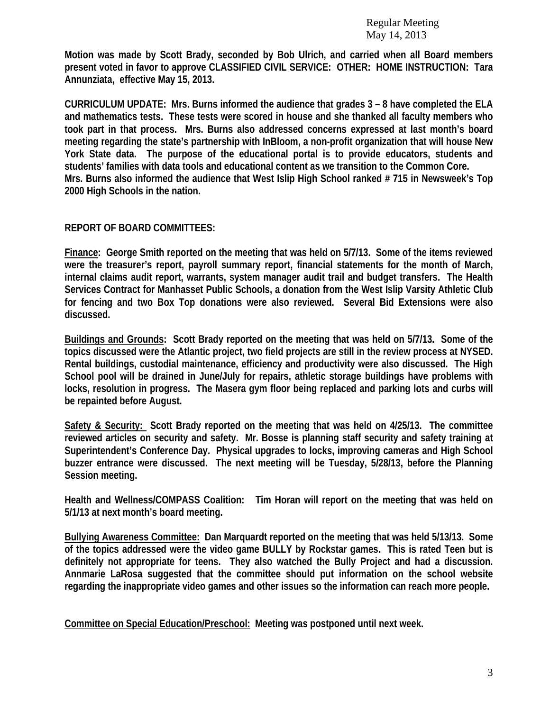**Motion was made by Scott Brady, seconded by Bob Ulrich, and carried when all Board members present voted in favor to approve CLASSIFIED CIVIL SERVICE: OTHER: HOME INSTRUCTION: Tara Annunziata, effective May 15, 2013.** 

**CURRICULUM UPDATE: Mrs. Burns informed the audience that grades 3 – 8 have completed the ELA and mathematics tests. These tests were scored in house and she thanked all faculty members who took part in that process. Mrs. Burns also addressed concerns expressed at last month's board meeting regarding the state's partnership with InBloom, a non-profit organization that will house New York State data. The purpose of the educational portal is to provide educators, students and students' families with data tools and educational content as we transition to the Common Core. Mrs. Burns also informed the audience that West Islip High School ranked # 715 in Newsweek's Top 2000 High Schools in the nation.** 

## **REPORT OF BOARD COMMITTEES:**

**Finance: George Smith reported on the meeting that was held on 5/7/13. Some of the items reviewed were the treasurer's report, payroll summary report, financial statements for the month of March, internal claims audit report, warrants, system manager audit trail and budget transfers. The Health Services Contract for Manhasset Public Schools, a donation from the West Islip Varsity Athletic Club for fencing and two Box Top donations were also reviewed. Several Bid Extensions were also discussed.** 

**Buildings and Grounds: Scott Brady reported on the meeting that was held on 5/7/13. Some of the topics discussed were the Atlantic project, two field projects are still in the review process at NYSED. Rental buildings, custodial maintenance, efficiency and productivity were also discussed. The High School pool will be drained in June/July for repairs, athletic storage buildings have problems with locks, resolution in progress. The Masera gym floor being replaced and parking lots and curbs will be repainted before August.** 

**Safety & Security: Scott Brady reported on the meeting that was held on 4/25/13. The committee reviewed articles on security and safety. Mr. Bosse is planning staff security and safety training at Superintendent's Conference Day. Physical upgrades to locks, improving cameras and High School buzzer entrance were discussed. The next meeting will be Tuesday, 5/28/13, before the Planning Session meeting.** 

**Health and Wellness/COMPASS Coalition: Tim Horan will report on the meeting that was held on 5/1/13 at next month's board meeting.** 

**Bullying Awareness Committee: Dan Marquardt reported on the meeting that was held 5/13/13. Some of the topics addressed were the video game BULLY by Rockstar games. This is rated Teen but is definitely not appropriate for teens. They also watched the Bully Project and had a discussion. Annmarie LaRosa suggested that the committee should put information on the school website regarding the inappropriate video games and other issues so the information can reach more people.** 

**Committee on Special Education/Preschool: Meeting was postponed until next week.**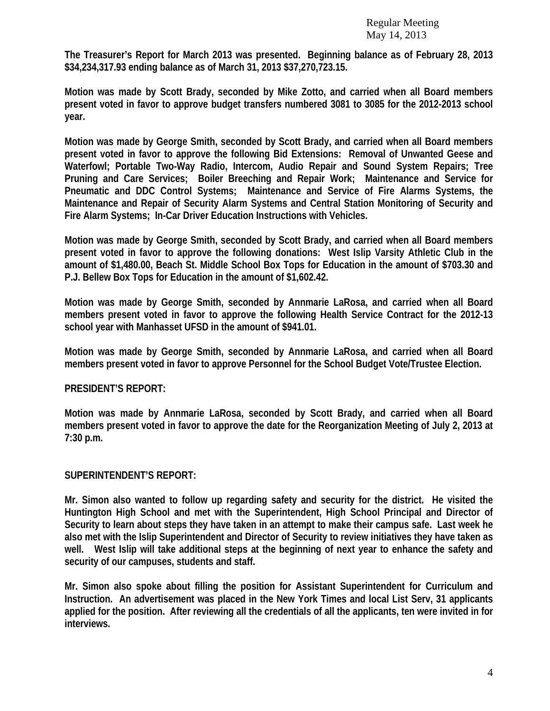**The Treasurer's Report for March 2013 was presented. Beginning balance as of February 28, 2013 \$34,234,317.93 ending balance as of March 31, 2013 \$37,270,723.15.** 

**Motion was made by Scott Brady, seconded by Mike Zotto, and carried when all Board members present voted in favor to approve budget transfers numbered 3081 to 3085 for the 2012-2013 school year.** 

**Motion was made by George Smith, seconded by Scott Brady, and carried when all Board members present voted in favor to approve the following Bid Extensions: Removal of Unwanted Geese and Waterfowl; Portable Two-Way Radio, Intercom, Audio Repair and Sound System Repairs; Tree Pruning and Care Services; Boiler Breeching and Repair Work; Maintenance and Service for Pneumatic and DDC Control Systems; Maintenance and Service of Fire Alarms Systems, the Maintenance and Repair of Security Alarm Systems and Central Station Monitoring of Security and Fire Alarm Systems; In-Car Driver Education Instructions with Vehicles.** 

**Motion was made by George Smith, seconded by Scott Brady, and carried when all Board members present voted in favor to approve the following donations: West Islip Varsity Athletic Club in the amount of \$1,480.00, Beach St. Middle School Box Tops for Education in the amount of \$703.30 and P.J. Bellew Box Tops for Education in the amount of \$1,602.42.** 

**Motion was made by George Smith, seconded by Annmarie LaRosa, and carried when all Board members present voted in favor to approve the following Health Service Contract for the 2012-13 school year with Manhasset UFSD in the amount of \$941.01.** 

**Motion was made by George Smith, seconded by Annmarie LaRosa, and carried when all Board members present voted in favor to approve Personnel for the School Budget Vote/Trustee Election.** 

### **PRESIDENT'S REPORT:**

**Motion was made by Annmarie LaRosa, seconded by Scott Brady, and carried when all Board members present voted in favor to approve the date for the Reorganization Meeting of July 2, 2013 at 7:30 p.m.** 

### **SUPERINTENDENT'S REPORT:**

**Mr. Simon also wanted to follow up regarding safety and security for the district. He visited the Huntington High School and met with the Superintendent, High School Principal and Director of Security to learn about steps they have taken in an attempt to make their campus safe. Last week he also met with the Islip Superintendent and Director of Security to review initiatives they have taken as well. West Islip will take additional steps at the beginning of next year to enhance the safety and security of our campuses, students and staff.** 

**Mr. Simon also spoke about filling the position for Assistant Superintendent for Curriculum and Instruction. An advertisement was placed in the New York Times and local List Serv, 31 applicants applied for the position. After reviewing all the credentials of all the applicants, ten were invited in for interviews.**